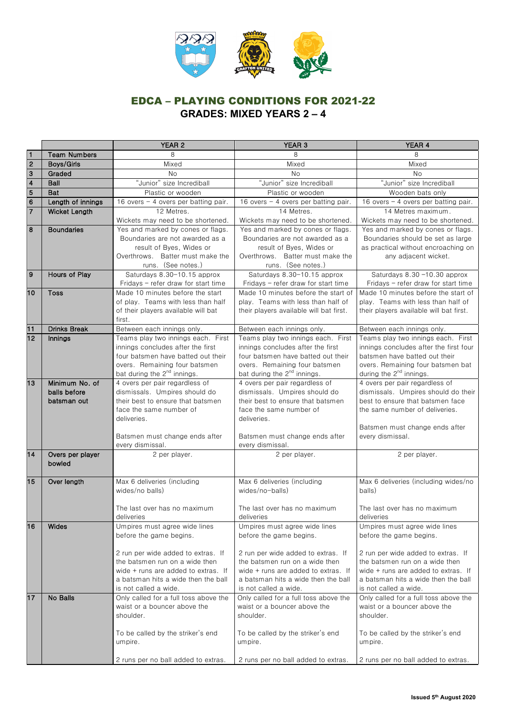

|                         |                     | YEAR <sub>2</sub>                                                       | YEAR <sub>3</sub>                                                       | YEAR 4                                                                  |
|-------------------------|---------------------|-------------------------------------------------------------------------|-------------------------------------------------------------------------|-------------------------------------------------------------------------|
| $\mathbf{1}$            | <b>Team Numbers</b> | 8                                                                       | 8                                                                       | 8                                                                       |
| $\overline{2}$          | Boys/Girls          | Mixed                                                                   | Mixed                                                                   | Mixed                                                                   |
| 3                       | Graded              | No                                                                      | No                                                                      | <b>No</b>                                                               |
| $\overline{\mathbf{4}}$ | Ball                | "Junior" size Incrediball                                               | "Junior" size Incrediball                                               | "Junior" size Incrediball                                               |
| $\overline{5}$          | Bat                 | Plastic or wooden                                                       | Plastic or wooden                                                       | Wooden bats only                                                        |
| $6\phantom{1}6$         | Length of innings   | 16 overs - 4 overs per batting pair.                                    | 16 overs - 4 overs per batting pair.                                    | 16 overs $-$ 4 overs per batting pair.                                  |
| $\overline{7}$          | Wicket Length       | 12 Metres.                                                              | 14 Metres.                                                              | 14 Metres maximum.                                                      |
|                         |                     | Wickets may need to be shortened.                                       | Wickets may need to be shortened.                                       | Wickets may need to be shortened.                                       |
| 8                       | <b>Boundaries</b>   | Yes and marked by cones or flags.                                       | Yes and marked by cones or flags.                                       | Yes and marked by cones or flags.                                       |
|                         |                     | Boundaries are not awarded as a                                         | Boundaries are not awarded as a                                         | Boundaries should be set as large                                       |
|                         |                     | result of Byes, Wides or                                                | result of Byes, Wides or                                                | as practical without encroaching on                                     |
|                         |                     | Overthrows. Batter must make the                                        | Overthrows. Batter must make the                                        | any adjacent wicket.                                                    |
|                         |                     | runs. (See notes.)                                                      | runs. (See notes.)                                                      |                                                                         |
| 9                       | Hours of Play       | Saturdays 8.30-10.15 approx                                             | Saturdays 8.30-10.15 approx                                             | Saturdays 8.30 -10.30 approx                                            |
|                         |                     | Fridays - refer draw for start time                                     | Fridays - refer draw for start time                                     | Fridays - refer draw for start time                                     |
| 10                      | <b>Toss</b>         | Made 10 minutes before the start                                        | Made 10 minutes before the start of                                     | Made 10 minutes before the start of                                     |
|                         |                     | of play. Teams with less than half                                      | play. Teams with less than half of                                      | play. Teams with less than half of                                      |
|                         |                     | of their players available will bat                                     | their players available will bat first.                                 | their players available will bat first.                                 |
|                         |                     | first.                                                                  |                                                                         |                                                                         |
| 11                      | <b>Drinks Break</b> | Between each innings only.                                              | Between each innings only.                                              | Between each innings only.                                              |
| 12                      | Innings             | Teams play two innings each. First                                      | Teams play two innings each. First<br>innings concludes after the first | Teams play two innings each. First                                      |
|                         |                     | innings concludes after the first<br>four batsmen have batted out their | four batsmen have batted out their                                      | innings concludes after the first four<br>batsmen have batted out their |
|                         |                     | overs. Remaining four batsmen                                           | overs. Remaining four batsmen                                           | overs. Remaining four batsmen bat                                       |
|                         |                     | bat during the 2 <sup>nd</sup> innings.                                 | bat during the 2 <sup>nd</sup> innings.                                 | during the 2 <sup>nd</sup> innings.                                     |
| 13                      | Minimum No. of      | 4 overs per pair regardless of                                          | 4 overs per pair regardless of                                          | 4 overs per pair regardless of                                          |
|                         | balls before        | dismissals. Umpires should do                                           | dismissals. Umpires should do                                           | dismissals. Umpires should do their                                     |
|                         | batsman out         | their best to ensure that batsmen                                       | their best to ensure that batsmen                                       | best to ensure that batsmen face                                        |
|                         |                     | face the same number of                                                 | face the same number of                                                 | the same number of deliveries.                                          |
|                         |                     | deliveries.                                                             | deliveries.                                                             |                                                                         |
|                         |                     |                                                                         |                                                                         | Batsmen must change ends after                                          |
|                         |                     | Batsmen must change ends after                                          | Batsmen must change ends after                                          | every dismissal.                                                        |
|                         |                     | every dismissal.                                                        | every dismissal.                                                        |                                                                         |
| 14                      | Overs per player    | 2 per player.                                                           | 2 per player.                                                           | 2 per player.                                                           |
|                         | bowled              |                                                                         |                                                                         |                                                                         |
|                         |                     |                                                                         |                                                                         |                                                                         |
| 15                      | Over length         | Max 6 deliveries (including                                             | Max 6 deliveries (including                                             | Max 6 deliveries (including wides/no                                    |
|                         |                     | wides/no balls)                                                         | wides/no-balls)                                                         | balls)                                                                  |
|                         |                     | The last over has no maximum                                            | The last over has no maximum                                            | The last over has no maximum                                            |
|                         |                     | deliveries                                                              | deliveries                                                              | deliveries                                                              |
| 16                      | Wides               | Umpires must agree wide lines                                           | Umpires must agree wide lines                                           | Umpires must agree wide lines                                           |
|                         |                     | before the game begins.                                                 | before the game begins.                                                 | before the game begins.                                                 |
|                         |                     |                                                                         |                                                                         |                                                                         |
|                         |                     | 2 run per wide added to extras. If                                      | 2 run per wide added to extras. If                                      | 2 run per wide added to extras. If                                      |
|                         |                     | the batsmen run on a wide then                                          | the batsmen run on a wide then                                          | the batsmen run on a wide then                                          |
|                         |                     | wide + runs are added to extras. If                                     | wide + runs are added to extras. If                                     | wide + runs are added to extras. If                                     |
|                         |                     | a batsman hits a wide then the ball                                     | a batsman hits a wide then the ball                                     | a batsman hits a wide then the ball                                     |
|                         |                     | is not called a wide.                                                   | is not called a wide.                                                   | is not called a wide.                                                   |
| 17                      | No Balls            | Only called for a full toss above the                                   | Only called for a full toss above the                                   | Only called for a full toss above the                                   |
|                         |                     | waist or a bouncer above the                                            | waist or a bouncer above the                                            | waist or a bouncer above the                                            |
|                         |                     | shoulder.                                                               | shoulder.                                                               | shoulder.                                                               |
|                         |                     |                                                                         |                                                                         |                                                                         |
|                         |                     | To be called by the striker's end                                       | To be called by the striker's end                                       | To be called by the striker's end                                       |
|                         |                     | umpire.                                                                 | umpire.                                                                 | umpire.                                                                 |
|                         |                     |                                                                         |                                                                         |                                                                         |
|                         |                     | 2 runs per no ball added to extras.                                     | 2 runs per no ball added to extras.                                     | 2 runs per no ball added to extras.                                     |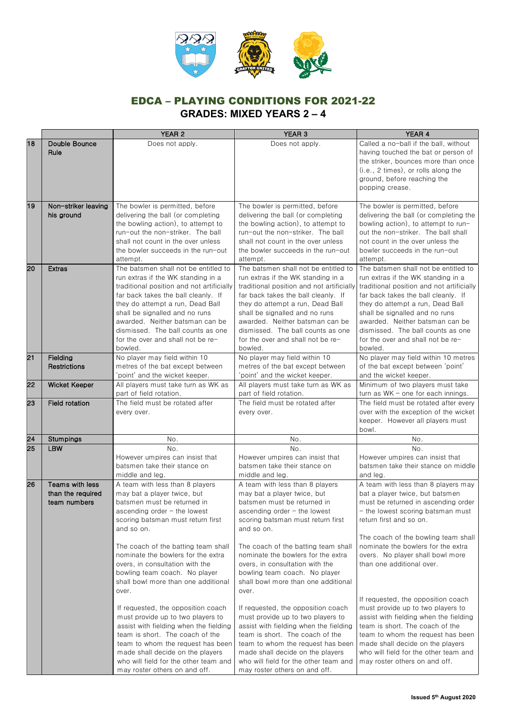

|    |                                                      | YEAR 2                                                                                                                                                                                                                                                                                                                                                                                                                                                                                                                                                                                                                                                                                         | YEAR <sub>3</sub>                                                                                                                                                                                                                                                                                                                                                                                                                                                                                                                                                                                                                                                                            | YEAR 4                                                                                                                                                                                                                                                                                                                                                                                                                                                                                                                                                                                                                                 |
|----|------------------------------------------------------|------------------------------------------------------------------------------------------------------------------------------------------------------------------------------------------------------------------------------------------------------------------------------------------------------------------------------------------------------------------------------------------------------------------------------------------------------------------------------------------------------------------------------------------------------------------------------------------------------------------------------------------------------------------------------------------------|----------------------------------------------------------------------------------------------------------------------------------------------------------------------------------------------------------------------------------------------------------------------------------------------------------------------------------------------------------------------------------------------------------------------------------------------------------------------------------------------------------------------------------------------------------------------------------------------------------------------------------------------------------------------------------------------|----------------------------------------------------------------------------------------------------------------------------------------------------------------------------------------------------------------------------------------------------------------------------------------------------------------------------------------------------------------------------------------------------------------------------------------------------------------------------------------------------------------------------------------------------------------------------------------------------------------------------------------|
| 18 | Double Bounce<br>Rule                                | Does not apply.                                                                                                                                                                                                                                                                                                                                                                                                                                                                                                                                                                                                                                                                                | Does not apply.                                                                                                                                                                                                                                                                                                                                                                                                                                                                                                                                                                                                                                                                              | Called a no-ball if the ball, without<br>having touched the bat or person of<br>the striker, bounces more than once<br>(i.e., 2 times), or rolls along the<br>ground, before reaching the<br>popping crease.                                                                                                                                                                                                                                                                                                                                                                                                                           |
| 19 | Non-striker leaving<br>his ground                    | The bowler is permitted, before<br>delivering the ball (or completing<br>the bowling action), to attempt to<br>run-out the non-striker. The ball<br>shall not count in the over unless<br>the bowler succeeds in the run-out<br>attempt.                                                                                                                                                                                                                                                                                                                                                                                                                                                       | The bowler is permitted, before<br>delivering the ball (or completing<br>the bowling action), to attempt to<br>run-out the non-striker. The ball<br>shall not count in the over unless<br>the bowler succeeds in the run-out<br>attempt.                                                                                                                                                                                                                                                                                                                                                                                                                                                     | The bowler is permitted, before<br>delivering the ball (or completing the<br>bowling action), to attempt to run-<br>out the non-striker. The ball shall<br>not count in the over unless the<br>bowler succeeds in the run-out<br>attempt.                                                                                                                                                                                                                                                                                                                                                                                              |
| 20 | <b>Extras</b>                                        | The batsmen shall not be entitled to<br>run extras if the WK standing in a<br>traditional position and not artificially<br>far back takes the ball cleanly. If<br>they do attempt a run, Dead Ball<br>shall be signalled and no runs<br>awarded. Neither batsman can be<br>dismissed. The ball counts as one<br>for the over and shall not be re-<br>bowled.                                                                                                                                                                                                                                                                                                                                   | The batsmen shall not be entitled to<br>run extras if the WK standing in a<br>traditional position and not artificially<br>far back takes the ball cleanly. If<br>they do attempt a run, Dead Ball<br>shall be signalled and no runs<br>awarded. Neither batsman can be<br>dismissed. The ball counts as one<br>for the over and shall not be re-<br>bowled.                                                                                                                                                                                                                                                                                                                                 | The batsmen shall not be entitled to<br>run extras if the WK standing in a<br>traditional position and not artificially<br>far back takes the ball cleanly. If<br>they do attempt a run, Dead Ball<br>shall be signalled and no runs<br>awarded. Neither batsman can be<br>dismissed. The ball counts as one<br>for the over and shall not be re-<br>bowled.                                                                                                                                                                                                                                                                           |
| 21 | Fielding<br>Restrictions                             | No player may field within 10<br>metres of the bat except between<br>'point' and the wicket keeper.                                                                                                                                                                                                                                                                                                                                                                                                                                                                                                                                                                                            | No player may field within 10<br>metres of the bat except between<br>'point' and the wicket keeper.                                                                                                                                                                                                                                                                                                                                                                                                                                                                                                                                                                                          | No player may field within 10 metres<br>of the bat except between 'point'<br>and the wicket keeper.                                                                                                                                                                                                                                                                                                                                                                                                                                                                                                                                    |
| 22 | <b>Wicket Keeper</b>                                 | All players must take turn as WK as<br>part of field rotation.                                                                                                                                                                                                                                                                                                                                                                                                                                                                                                                                                                                                                                 | All players must take turn as WK as<br>part of field rotation.                                                                                                                                                                                                                                                                                                                                                                                                                                                                                                                                                                                                                               | Minimum of two players must take<br>turn as WK - one for each innings.                                                                                                                                                                                                                                                                                                                                                                                                                                                                                                                                                                 |
| 23 | <b>Field rotation</b>                                | The field must be rotated after<br>every over.                                                                                                                                                                                                                                                                                                                                                                                                                                                                                                                                                                                                                                                 | The field must be rotated after<br>every over.                                                                                                                                                                                                                                                                                                                                                                                                                                                                                                                                                                                                                                               | The field must be rotated after every<br>over with the exception of the wicket<br>keeper. However all players must<br>bowl.                                                                                                                                                                                                                                                                                                                                                                                                                                                                                                            |
| 24 | Stumpings                                            | No.                                                                                                                                                                                                                                                                                                                                                                                                                                                                                                                                                                                                                                                                                            | No.                                                                                                                                                                                                                                                                                                                                                                                                                                                                                                                                                                                                                                                                                          | No.                                                                                                                                                                                                                                                                                                                                                                                                                                                                                                                                                                                                                                    |
| 25 | <b>LBW</b>                                           | No.<br>However umpires can insist that<br>batsmen take their stance on<br>middle and leg.                                                                                                                                                                                                                                                                                                                                                                                                                                                                                                                                                                                                      | No.<br>However umpires can insist that<br>batsmen take their stance on<br>middle and leg.                                                                                                                                                                                                                                                                                                                                                                                                                                                                                                                                                                                                    | No.<br>However umpires can insist that<br>batsmen take their stance on middle<br>and leg.                                                                                                                                                                                                                                                                                                                                                                                                                                                                                                                                              |
| 26 | Teams with less<br>than the required<br>team numbers | A team with less than 8 players<br>may bat a player twice, but<br>batsmen must be returned in<br>ascending order $-$ the lowest<br>scoring batsman must return first<br>and so on.<br>The coach of the batting team shall<br>nominate the bowlers for the extra<br>overs, in consultation with the<br>bowling team coach. No player<br>shall bowl more than one additional<br>over.<br>If requested, the opposition coach<br>must provide up to two players to<br>assist with fielding when the fielding<br>team is short. The coach of the<br>team to whom the request has been<br>made shall decide on the players<br>who will field for the other team and<br>may roster others on and off. | A team with less than 8 players<br>may bat a player twice, but<br>batsmen must be returned in<br>ascending order - the lowest<br>scoring batsman must return first<br>and so on.<br>The coach of the batting team shall<br>nominate the bowlers for the extra<br>overs, in consultation with the<br>bowling team coach. No player<br>shall bowl more than one additional<br>over.<br>If requested, the opposition coach<br>must provide up to two players to<br>assist with fielding when the fielding<br>team is short. The coach of the<br>team to whom the request has been<br>made shall decide on the players<br>who will field for the other team and<br>may roster others on and off. | A team with less than 8 players may<br>bat a player twice, but batsmen<br>must be returned in ascending order<br>- the lowest scoring batsman must<br>return first and so on.<br>The coach of the bowling team shall<br>nominate the bowlers for the extra<br>overs. No player shall bowl more<br>than one additional over.<br>If requested, the opposition coach<br>must provide up to two players to<br>assist with fielding when the fielding<br>team is short. The coach of the<br>team to whom the request has been<br>made shall decide on the players<br>who will field for the other team and<br>may roster others on and off. |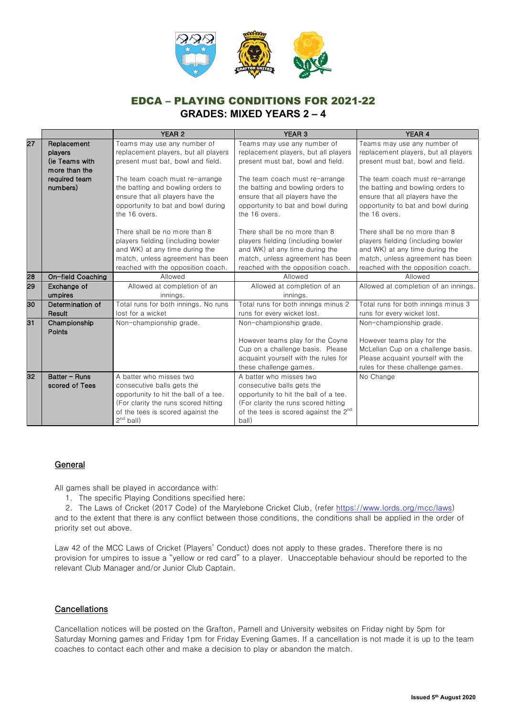

|                   | YEAR 2                                                                              | YEAR 3                                                                                                                                                                                                                                                                                                                                                                                     | YEAR 4                                                                                                                                                                                                                                                                                                                                                                                                                                                                                                                                  |
|-------------------|-------------------------------------------------------------------------------------|--------------------------------------------------------------------------------------------------------------------------------------------------------------------------------------------------------------------------------------------------------------------------------------------------------------------------------------------------------------------------------------------|-----------------------------------------------------------------------------------------------------------------------------------------------------------------------------------------------------------------------------------------------------------------------------------------------------------------------------------------------------------------------------------------------------------------------------------------------------------------------------------------------------------------------------------------|
| Replacement       | Teams may use any number of                                                         | Teams may use any number of                                                                                                                                                                                                                                                                                                                                                                | Teams may use any number of                                                                                                                                                                                                                                                                                                                                                                                                                                                                                                             |
| players           | replacement players, but all players                                                | replacement players, but all players                                                                                                                                                                                                                                                                                                                                                       | replacement players, but all players                                                                                                                                                                                                                                                                                                                                                                                                                                                                                                    |
| (ie Teams with    | present must bat, bowl and field.                                                   | present must bat, bowl and field.                                                                                                                                                                                                                                                                                                                                                          | present must bat, bowl and field.                                                                                                                                                                                                                                                                                                                                                                                                                                                                                                       |
| more than the     |                                                                                     |                                                                                                                                                                                                                                                                                                                                                                                            |                                                                                                                                                                                                                                                                                                                                                                                                                                                                                                                                         |
| required team     | The team coach must re-arrange                                                      | The team coach must re-arrange                                                                                                                                                                                                                                                                                                                                                             | The team coach must re-arrange                                                                                                                                                                                                                                                                                                                                                                                                                                                                                                          |
|                   |                                                                                     |                                                                                                                                                                                                                                                                                                                                                                                            | the batting and bowling orders to                                                                                                                                                                                                                                                                                                                                                                                                                                                                                                       |
|                   |                                                                                     |                                                                                                                                                                                                                                                                                                                                                                                            | ensure that all players have the                                                                                                                                                                                                                                                                                                                                                                                                                                                                                                        |
|                   |                                                                                     |                                                                                                                                                                                                                                                                                                                                                                                            | opportunity to bat and bowl during                                                                                                                                                                                                                                                                                                                                                                                                                                                                                                      |
|                   |                                                                                     |                                                                                                                                                                                                                                                                                                                                                                                            | the 16 overs.                                                                                                                                                                                                                                                                                                                                                                                                                                                                                                                           |
|                   | There shall be no more than 8                                                       | There shall be no more than 8                                                                                                                                                                                                                                                                                                                                                              | There shall be no more than 8                                                                                                                                                                                                                                                                                                                                                                                                                                                                                                           |
|                   | players fielding (including bowler                                                  | players fielding (including bowler                                                                                                                                                                                                                                                                                                                                                         | players fielding (including bowler                                                                                                                                                                                                                                                                                                                                                                                                                                                                                                      |
|                   | and WK) at any time during the                                                      | and WK) at any time during the                                                                                                                                                                                                                                                                                                                                                             | and WK) at any time during the                                                                                                                                                                                                                                                                                                                                                                                                                                                                                                          |
|                   | match, unless agreement has been                                                    | match, unless agreement has been                                                                                                                                                                                                                                                                                                                                                           | match, unless agreement has been                                                                                                                                                                                                                                                                                                                                                                                                                                                                                                        |
|                   | reached with the opposition coach.                                                  | reached with the opposition coach.                                                                                                                                                                                                                                                                                                                                                         | reached with the opposition coach.                                                                                                                                                                                                                                                                                                                                                                                                                                                                                                      |
| On-field Coaching | Allowed                                                                             | Allowed                                                                                                                                                                                                                                                                                                                                                                                    | Allowed                                                                                                                                                                                                                                                                                                                                                                                                                                                                                                                                 |
| Exchange of       | Allowed at completion of an                                                         | Allowed at completion of an                                                                                                                                                                                                                                                                                                                                                                | Allowed at completion of an innings.                                                                                                                                                                                                                                                                                                                                                                                                                                                                                                    |
| umpires           | innings.                                                                            | innings.                                                                                                                                                                                                                                                                                                                                                                                   |                                                                                                                                                                                                                                                                                                                                                                                                                                                                                                                                         |
|                   |                                                                                     |                                                                                                                                                                                                                                                                                                                                                                                            | Total runs for both innings minus 3                                                                                                                                                                                                                                                                                                                                                                                                                                                                                                     |
|                   |                                                                                     | runs for every wicket lost.                                                                                                                                                                                                                                                                                                                                                                | runs for every wicket lost.                                                                                                                                                                                                                                                                                                                                                                                                                                                                                                             |
| Championship      | Non-championship grade.                                                             |                                                                                                                                                                                                                                                                                                                                                                                            | Non-championship grade.                                                                                                                                                                                                                                                                                                                                                                                                                                                                                                                 |
|                   |                                                                                     |                                                                                                                                                                                                                                                                                                                                                                                            |                                                                                                                                                                                                                                                                                                                                                                                                                                                                                                                                         |
|                   |                                                                                     |                                                                                                                                                                                                                                                                                                                                                                                            | However teams play for the                                                                                                                                                                                                                                                                                                                                                                                                                                                                                                              |
|                   |                                                                                     |                                                                                                                                                                                                                                                                                                                                                                                            | McLellan Cup on a challenge basis.                                                                                                                                                                                                                                                                                                                                                                                                                                                                                                      |
|                   |                                                                                     |                                                                                                                                                                                                                                                                                                                                                                                            | Please acquaint yourself with the                                                                                                                                                                                                                                                                                                                                                                                                                                                                                                       |
|                   |                                                                                     |                                                                                                                                                                                                                                                                                                                                                                                            | rules for these challenge games.                                                                                                                                                                                                                                                                                                                                                                                                                                                                                                        |
|                   |                                                                                     |                                                                                                                                                                                                                                                                                                                                                                                            | No Change                                                                                                                                                                                                                                                                                                                                                                                                                                                                                                                               |
|                   |                                                                                     |                                                                                                                                                                                                                                                                                                                                                                                            |                                                                                                                                                                                                                                                                                                                                                                                                                                                                                                                                         |
|                   |                                                                                     |                                                                                                                                                                                                                                                                                                                                                                                            |                                                                                                                                                                                                                                                                                                                                                                                                                                                                                                                                         |
|                   |                                                                                     |                                                                                                                                                                                                                                                                                                                                                                                            |                                                                                                                                                                                                                                                                                                                                                                                                                                                                                                                                         |
|                   |                                                                                     | ball)                                                                                                                                                                                                                                                                                                                                                                                      |                                                                                                                                                                                                                                                                                                                                                                                                                                                                                                                                         |
|                   | numbers)<br>Determination of<br>Result<br>Points<br>Batter - Runs<br>scored of Tees | the batting and bowling orders to<br>ensure that all players have the<br>opportunity to bat and bowl during<br>the 16 overs.<br>Total runs for both innings. No runs<br>lost for a wicket<br>A batter who misses two<br>consecutive balls gets the<br>opportunity to hit the ball of a tee.<br>(For clarity the runs scored hitting<br>of the tees is scored against the<br>$2^{nd}$ ball) | the batting and bowling orders to<br>ensure that all players have the<br>opportunity to bat and bowl during<br>the 16 overs.<br>Total runs for both innings minus 2<br>Non-championship grade.<br>However teams play for the Coyne<br>Cup on a challenge basis. Please<br>acquaint yourself with the rules for<br>these challenge games.<br>A batter who misses two<br>consecutive balls gets the<br>opportunity to hit the ball of a tee.<br>(For clarity the runs scored hitting<br>of the tees is scored against the 2 <sup>nd</sup> |

### **General**

All games shall be played in accordance with:

- 1. The specific Playing Conditions specified here;
- 2. The Laws of Cricket (2017 Code) of the Marylebone Cricket Club, (refer https://www.lords.org/mcc/laws)

and to the extent that there is any conflict between those conditions, the conditions shall be applied in the order of priority set out above.

Law 42 of the MCC Laws of Cricket (Players' Conduct) does not apply to these grades. Therefore there is no provision for umpires to issue a "yellow or red card" to a player. Unacceptable behaviour should be reported to the relevant Club Manager and/or Junior Club Captain.

## **Cancellations**

Cancellation notices will be posted on the Grafton, Parnell and University websites on Friday night by 5pm for Saturday Morning games and Friday 1pm for Friday Evening Games. If a cancellation is not made it is up to the team coaches to contact each other and make a decision to play or abandon the match.